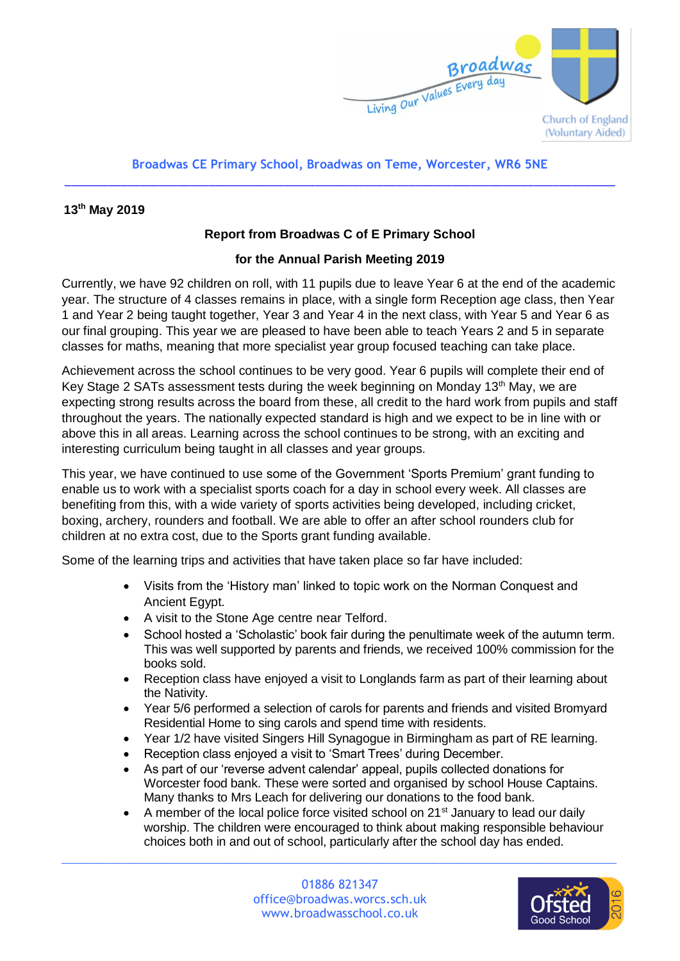

## **Broadwas CE Primary School, Broadwas on Teme, Worcester, WR6 5NE** \_\_\_\_\_\_\_\_\_\_\_\_\_\_\_\_\_\_\_\_\_\_\_\_\_\_\_\_\_\_\_\_\_\_\_\_\_\_\_\_\_\_\_\_\_\_\_\_\_\_\_\_\_\_\_\_\_\_\_\_\_\_\_\_\_\_\_\_\_\_\_\_\_\_\_\_\_\_\_\_\_\_\_\_\_\_\_\_

## **13th May 2019**

## **Report from Broadwas C of E Primary School**

## **for the Annual Parish Meeting 2019**

Currently, we have 92 children on roll, with 11 pupils due to leave Year 6 at the end of the academic year. The structure of 4 classes remains in place, with a single form Reception age class, then Year 1 and Year 2 being taught together, Year 3 and Year 4 in the next class, with Year 5 and Year 6 as our final grouping. This year we are pleased to have been able to teach Years 2 and 5 in separate classes for maths, meaning that more specialist year group focused teaching can take place.

Achievement across the school continues to be very good. Year 6 pupils will complete their end of Key Stage 2 SATs assessment tests during the week beginning on Monday 13<sup>th</sup> May, we are expecting strong results across the board from these, all credit to the hard work from pupils and staff throughout the years. The nationally expected standard is high and we expect to be in line with or above this in all areas. Learning across the school continues to be strong, with an exciting and interesting curriculum being taught in all classes and year groups.

This year, we have continued to use some of the Government 'Sports Premium' grant funding to enable us to work with a specialist sports coach for a day in school every week. All classes are benefiting from this, with a wide variety of sports activities being developed, including cricket, boxing, archery, rounders and football. We are able to offer an after school rounders club for children at no extra cost, due to the Sports grant funding available.

Some of the learning trips and activities that have taken place so far have included:

- Visits from the 'History man' linked to topic work on the Norman Conquest and Ancient Egypt.
- A visit to the Stone Age centre near Telford.
- School hosted a 'Scholastic' book fair during the penultimate week of the autumn term. This was well supported by parents and friends, we received 100% commission for the books sold.
- Reception class have enjoyed a visit to Longlands farm as part of their learning about the Nativity.
- Year 5/6 performed a selection of carols for parents and friends and visited Bromyard Residential Home to sing carols and spend time with residents.
- Year 1/2 have visited Singers Hill Synagogue in Birmingham as part of RE learning.
- Reception class enjoyed a visit to 'Smart Trees' during December.
- As part of our 'reverse advent calendar' appeal, pupils collected donations for Worcester food bank. These were sorted and organised by school House Captains. Many thanks to Mrs Leach for delivering our donations to the food bank.
- A member of the local police force visited school on  $21<sup>st</sup>$  January to lead our daily worship. The children were encouraged to think about making responsible behaviour choices both in and out of school, particularly after the school day has ended.

 $\_$  , and the set of the set of the set of the set of the set of the set of the set of the set of the set of the set of the set of the set of the set of the set of the set of the set of the set of the set of the set of th